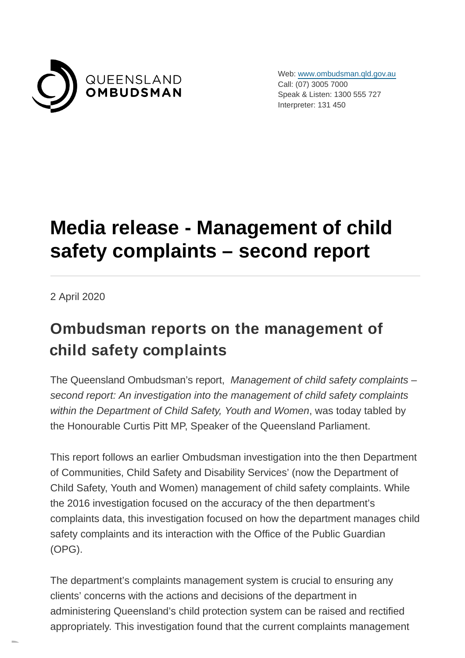

Web: [www.ombudsman.qld.gov.au](https://www.ombudsman.qld.gov.au/) Call: (07) 3005 7000 Speak & Listen: 1300 555 727 Interpreter: 131 450

# **Media release - Management of child safety complaints – second report**

2 April 2020

#### **Ombudsman reports on the management of child safety complaints**

The Queensland Ombudsman's report, Management of child safety complaints – second report: An investigation into the management of child safety complaints within the Department of Child Safety, Youth and Women, was today tabled by the Honourable Curtis Pitt MP, Speaker of the Queensland Parliament.

This report follows an earlier Ombudsman investigation into the then Department of Communities, Child Safety and Disability Services' (now the Department of Child Safety, Youth and Women) management of child safety complaints. While the 2016 investigation focused on the accuracy of the then department's complaints data, this investigation focused on how the department manages child safety complaints and its interaction with the Office of the Public Guardian (OPG).

The department's complaints management system is crucial to ensuring any clients' concerns with the actions and decisions of the department in administering Queensland's child protection system can be raised and rectified appropriately. This investigation found that the current complaints management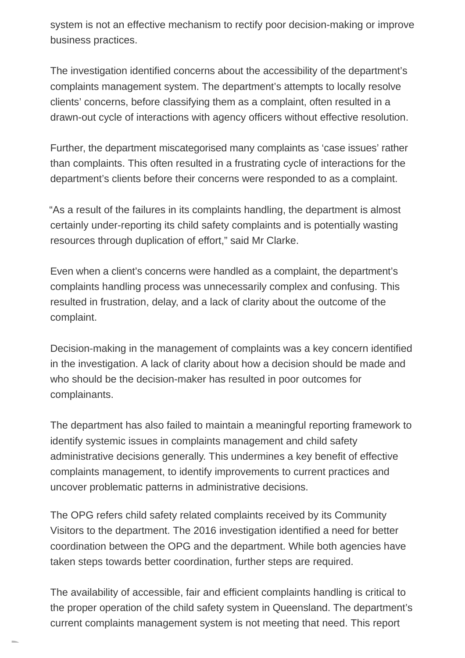system is not an effective mechanism to rectify poor decision-making or improve business practices.

The investigation identified concerns about the accessibility of the department's complaints management system. The department's attempts to locally resolve clients' concerns, before classifying them as a complaint, often resulted in a drawn-out cycle of interactions with agency officers without effective resolution.

Further, the department miscategorised many complaints as 'case issues' rather than complaints. This often resulted in a frustrating cycle of interactions for the department's clients before their concerns were responded to as a complaint.

"As a result of the failures in its complaints handling, the department is almost certainly under-reporting its child safety complaints and is potentially wasting resources through duplication of effort," said Mr Clarke.

Even when a client's concerns were handled as a complaint, the department's complaints handling process was unnecessarily complex and confusing. This resulted in frustration, delay, and a lack of clarity about the outcome of the complaint.

Decision-making in the management of complaints was a key concern identified in the investigation. A lack of clarity about how a decision should be made and who should be the decision-maker has resulted in poor outcomes for complainants.

The department has also failed to maintain a meaningful reporting framework to identify systemic issues in complaints management and child safety administrative decisions generally. This undermines a key benefit of effective complaints management, to identify improvements to current practices and uncover problematic patterns in administrative decisions.

The OPG refers child safety related complaints received by its Community Visitors to the department. The 2016 investigation identified a need for better coordination between the OPG and the department. While both agencies have taken steps towards better coordination, further steps are required.

The availability of accessible, fair and efficient complaints handling is critical to the proper operation of the child safety system in Queensland. The department's current complaints management system is not meeting that need. This report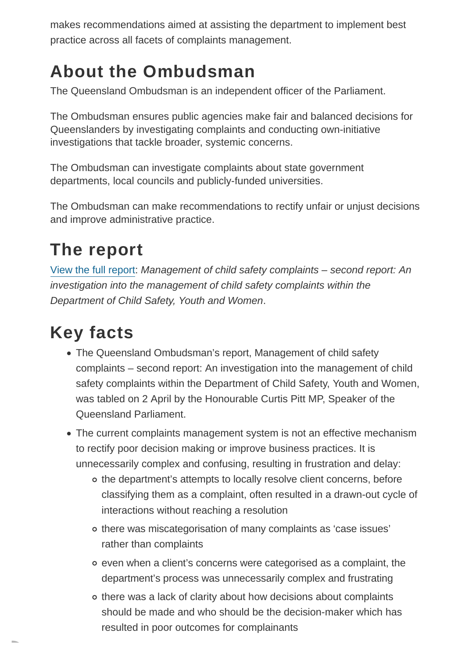makes recommendations aimed at assisting the department to implement best practice across all facets of complaints management.

### **About the Ombudsman**

The Queensland Ombudsman is an independent officer of the Parliament.

The Ombudsman ensures public agencies make fair and balanced decisions for Queenslanders by investigating complaints and conducting own-initiative investigations that tackle broader, systemic concerns.

The Ombudsman can investigate complaints about state government departments, local councils and publicly-funded universities.

The Ombudsman can make recommendations to rectify unfair or unjust decisions and improve administrative practice.

# **The report**

[View the full report:](https://www.ombudsman.qld.gov.au/improve-public-administration/investigative-reports-and-casebooks/investigative-reports/management-of-child-safety-complaints-second-report-2020/management-of-child-safety-complaints-second-report) Management of child safety complaints – second report: An investigation into the management of child safety complaints within the Department of Child Safety, Youth and Women.

## **Key facts**

- The Queensland Ombudsman's report, Management of child safety complaints – second report: An investigation into the management of child safety complaints within the Department of Child Safety, Youth and Women, was tabled on 2 April by the Honourable Curtis Pitt MP, Speaker of the Queensland Parliament.
- The current complaints management system is not an effective mechanism to rectify poor decision making or improve business practices. It is unnecessarily complex and confusing, resulting in frustration and delay:
	- o the department's attempts to locally resolve client concerns, before classifying them as a complaint, often resulted in a drawn-out cycle of interactions without reaching a resolution
	- there was miscategorisation of many complaints as 'case issues' rather than complaints
	- even when a client's concerns were categorised as a complaint, the department's process was unnecessarily complex and frustrating
	- o there was a lack of clarity about how decisions about complaints should be made and who should be the decision-maker which has resulted in poor outcomes for complainants